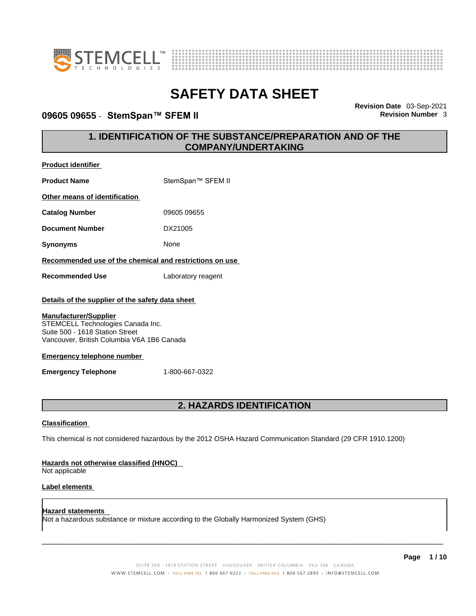



### **09605 09655 · StemSpan™ SFEM II**

**Revision Date** 03-Sep-2021

### **1. IDENTIFICATION OF THE SUBSTANCE/PREPARATION AND OF THE COMPANY/UNDERTAKING**

| <b>Product identifier</b>                                                                                                                          |                    |  |
|----------------------------------------------------------------------------------------------------------------------------------------------------|--------------------|--|
| <b>Product Name</b>                                                                                                                                | StemSpan™ SFEM II  |  |
| Other means of identification                                                                                                                      |                    |  |
| <b>Catalog Number</b>                                                                                                                              | 09605 09655        |  |
| <b>Document Number</b>                                                                                                                             | DX21005            |  |
| <b>Synonyms</b>                                                                                                                                    | None               |  |
| Recommended use of the chemical and restrictions on use                                                                                            |                    |  |
| <b>Recommended Use</b>                                                                                                                             | Laboratory reagent |  |
| Details of the supplier of the safety data sheet                                                                                                   |                    |  |
| <b>Manufacturer/Supplier</b><br>STEMCELL Technologies Canada Inc.<br>Suite 500 - 1618 Station Street<br>Vancouver, British Columbia V6A 1B6 Canada |                    |  |
| Emergency telephone number                                                                                                                         |                    |  |
| <b>Emergency Telephone</b>                                                                                                                         | 1-800-667-0322     |  |

### **2. HAZARDS IDENTIFICATION**

#### **Classification**

This chemical is not considered hazardous by the 2012 OSHA Hazard Communication Standard (29 CFR 1910.1200)

#### **Hazards not otherwise classified (HNOC)**

Not applicable

#### **Label elements**

**Hazard statements**  Not a hazardous substance or mixture according to the Globally Harmonized System (GHS)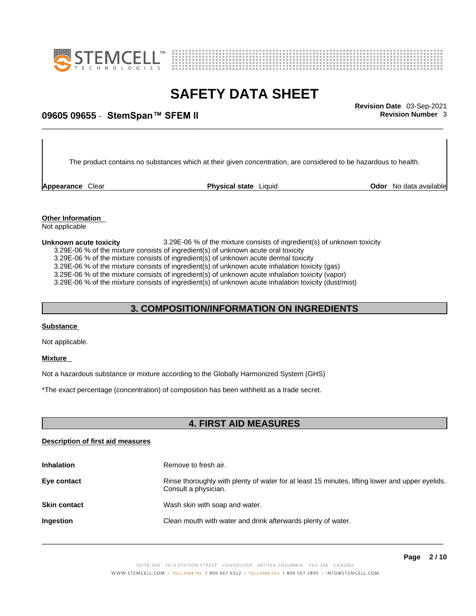



# \_\_\_\_\_\_\_\_\_\_\_\_\_\_\_\_\_\_\_\_\_\_\_\_\_\_\_\_\_\_\_\_\_\_\_\_\_\_\_\_\_\_\_\_\_\_\_\_\_\_\_\_\_\_\_\_\_\_\_\_\_\_\_\_\_\_\_\_\_\_\_\_\_\_\_\_\_\_\_\_\_\_\_\_\_\_\_\_\_\_\_\_\_ **Revision Date** 03-Sep-2021 **09605 09655** - **StemSpan™ SFEM II Revision Number** 3

The product contains no substances which at their given concentration, are considered to be hazardous to health.

**Appearance** Clear **Physical state** Liquid

**Odor** No data available

**Other Information**  Not applicable

**Unknown acute toxicity** 3.29E-06 % of the mixtureconsists of ingredient(s) of unknown toxicity

3.29E-06 % of the mixture consists of ingredient(s) of unknown acute oral toxicity

 $3.29E-06$  % of the mixture consists of ingredient(s) of unknown acute dermal toxicity

3.29E-06 % of the mixture consists of ingredient(s) of unknown acute inhalation toxicity (gas)

3.29E-06 % of the mixture consists of ingredient(s) of unknown acute inhalation toxicity (vapor)

3.29E-06 % of the mixture consists of ingredient(s) of unknown acute inhalation toxicity (dust/mist)

### **3. COMPOSITION/INFORMATION ON INGREDIENTS**

#### **Substance**

Not applicable.

#### **Mixture**

Not a hazardous substance or mixture according to the Globally Harmonized System (GHS)

\*The exact percentage (concentration) of composition has been withheld as a trade secret.

### **4. FIRST AID MEASURES**

#### **Description of first aid measures**

| <b>Inhalation</b>   | Remove to fresh air.                                                                                                    |
|---------------------|-------------------------------------------------------------------------------------------------------------------------|
| Eye contact         | Rinse thoroughly with plenty of water for at least 15 minutes, lifting lower and upper eyelids.<br>Consult a physician. |
| <b>Skin contact</b> | Wash skin with soap and water.                                                                                          |
| Ingestion           | Clean mouth with water and drink afterwards plenty of water.                                                            |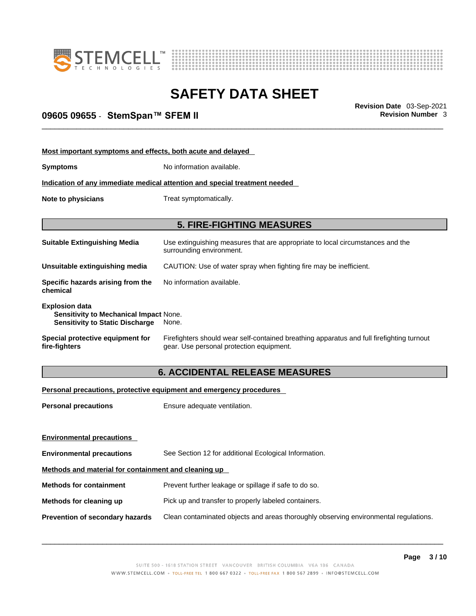



# \_\_\_\_\_\_\_\_\_\_\_\_\_\_\_\_\_\_\_\_\_\_\_\_\_\_\_\_\_\_\_\_\_\_\_\_\_\_\_\_\_\_\_\_\_\_\_\_\_\_\_\_\_\_\_\_\_\_\_\_\_\_\_\_\_\_\_\_\_\_\_\_\_\_\_\_\_\_\_\_\_\_\_\_\_\_\_\_\_\_\_\_\_ **Revision Date** 03-Sep-2021 **09605 09655** - **StemSpan™ SFEM II Revision Number** 3

| Most important symptoms and effects, both acute and delayed                                                      |                                                                                                                                       |  |
|------------------------------------------------------------------------------------------------------------------|---------------------------------------------------------------------------------------------------------------------------------------|--|
| <b>Symptoms</b>                                                                                                  | No information available.                                                                                                             |  |
|                                                                                                                  | Indication of any immediate medical attention and special treatment needed                                                            |  |
| Note to physicians                                                                                               | Treat symptomatically.                                                                                                                |  |
|                                                                                                                  |                                                                                                                                       |  |
|                                                                                                                  | <b>5. FIRE-FIGHTING MEASURES</b>                                                                                                      |  |
| <b>Suitable Extinguishing Media</b>                                                                              | Use extinguishing measures that are appropriate to local circumstances and the<br>surrounding environment.                            |  |
| Unsuitable extinguishing media                                                                                   | CAUTION: Use of water spray when fighting fire may be inefficient.                                                                    |  |
| Specific hazards arising from the<br>chemical                                                                    | No information available.                                                                                                             |  |
| <b>Explosion data</b><br><b>Sensitivity to Mechanical Impact None.</b><br><b>Sensitivity to Static Discharge</b> | None.                                                                                                                                 |  |
| Special protective equipment for<br>fire-fighters                                                                | Firefighters should wear self-contained breathing apparatus and full firefighting turnout<br>gear. Use personal protection equipment. |  |

### **6. ACCIDENTAL RELEASE MEASURES**

#### **Personal precautions, protective equipment and emergency procedures**

| <b>Personal precautions</b>                          | Ensure adequate ventilation.                                                         |  |
|------------------------------------------------------|--------------------------------------------------------------------------------------|--|
|                                                      |                                                                                      |  |
| <b>Environmental precautions</b>                     |                                                                                      |  |
| <b>Environmental precautions</b>                     | See Section 12 for additional Ecological Information.                                |  |
| Methods and material for containment and cleaning up |                                                                                      |  |
| <b>Methods for containment</b>                       | Prevent further leakage or spillage if safe to do so.                                |  |
| Methods for cleaning up                              | Pick up and transfer to properly labeled containers.                                 |  |
| <b>Prevention of secondary hazards</b>               | Clean contaminated objects and areas thoroughly observing environmental regulations. |  |
|                                                      |                                                                                      |  |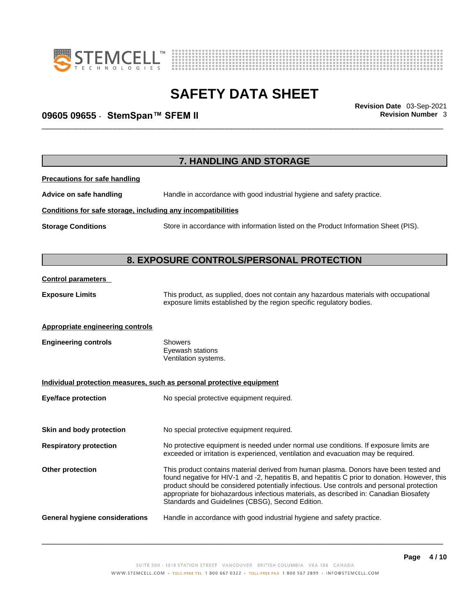



# \_\_\_\_\_\_\_\_\_\_\_\_\_\_\_\_\_\_\_\_\_\_\_\_\_\_\_\_\_\_\_\_\_\_\_\_\_\_\_\_\_\_\_\_\_\_\_\_\_\_\_\_\_\_\_\_\_\_\_\_\_\_\_\_\_\_\_\_\_\_\_\_\_\_\_\_\_\_\_\_\_\_\_\_\_\_\_\_\_\_\_\_\_ **Revision Date** 03-Sep-2021 **09605 09655** - **StemSpan™ SFEM II Revision Number** 3

|                                                              | 7. HANDLING AND STORAGE                                                                                                                                                                                                                                                                                                                                                                                                            |
|--------------------------------------------------------------|------------------------------------------------------------------------------------------------------------------------------------------------------------------------------------------------------------------------------------------------------------------------------------------------------------------------------------------------------------------------------------------------------------------------------------|
| <b>Precautions for safe handling</b>                         |                                                                                                                                                                                                                                                                                                                                                                                                                                    |
| Advice on safe handling                                      | Handle in accordance with good industrial hygiene and safety practice.                                                                                                                                                                                                                                                                                                                                                             |
| Conditions for safe storage, including any incompatibilities |                                                                                                                                                                                                                                                                                                                                                                                                                                    |
| <b>Storage Conditions</b>                                    | Store in accordance with information listed on the Product Information Sheet (PIS).                                                                                                                                                                                                                                                                                                                                                |
|                                                              | 8. EXPOSURE CONTROLS/PERSONAL PROTECTION                                                                                                                                                                                                                                                                                                                                                                                           |
| <b>Control parameters</b>                                    |                                                                                                                                                                                                                                                                                                                                                                                                                                    |
| <b>Exposure Limits</b>                                       | This product, as supplied, does not contain any hazardous materials with occupational<br>exposure limits established by the region specific regulatory bodies.                                                                                                                                                                                                                                                                     |
| <b>Appropriate engineering controls</b>                      |                                                                                                                                                                                                                                                                                                                                                                                                                                    |
| <b>Engineering controls</b>                                  | Showers<br>Eyewash stations<br>Ventilation systems.                                                                                                                                                                                                                                                                                                                                                                                |
|                                                              | Individual protection measures, such as personal protective equipment                                                                                                                                                                                                                                                                                                                                                              |
| <b>Eye/face protection</b>                                   | No special protective equipment required.                                                                                                                                                                                                                                                                                                                                                                                          |
| Skin and body protection                                     | No special protective equipment required.                                                                                                                                                                                                                                                                                                                                                                                          |
| <b>Respiratory protection</b>                                | No protective equipment is needed under normal use conditions. If exposure limits are<br>exceeded or irritation is experienced, ventilation and evacuation may be required.                                                                                                                                                                                                                                                        |
| <b>Other protection</b>                                      | This product contains material derived from human plasma. Donors have been tested and<br>found negative for HIV-1 and -2, hepatitis B, and hepatitis C prior to donation. However, this<br>product should be considered potentially infectious. Use controls and personal protection<br>appropriate for biohazardous infectious materials, as described in: Canadian Biosafety<br>Standards and Guidelines (CBSG), Second Edition. |
| General hygiene considerations                               | Handle in accordance with good industrial hygiene and safety practice.                                                                                                                                                                                                                                                                                                                                                             |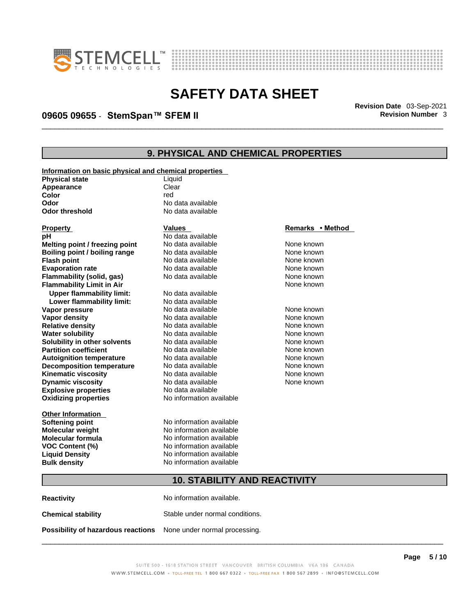



# \_\_\_\_\_\_\_\_\_\_\_\_\_\_\_\_\_\_\_\_\_\_\_\_\_\_\_\_\_\_\_\_\_\_\_\_\_\_\_\_\_\_\_\_\_\_\_\_\_\_\_\_\_\_\_\_\_\_\_\_\_\_\_\_\_\_\_\_\_\_\_\_\_\_\_\_\_\_\_\_\_\_\_\_\_\_\_\_\_\_\_\_\_ **Revision Date** 03-Sep-2021 **09605 09655** - **StemSpan™ SFEM II Revision Number** 3

## **9. PHYSICAL AND CHEMICAL PROPERTIES**

| Information on basic physical and chemical properties |                          |                  |
|-------------------------------------------------------|--------------------------|------------------|
| <b>Physical state</b>                                 | Liquid                   |                  |
| Appearance                                            | Clear                    |                  |
| Color                                                 | red                      |                  |
| Odor                                                  | No data available        |                  |
| <b>Odor threshold</b>                                 | No data available        |                  |
|                                                       |                          |                  |
| <b>Property</b>                                       | <b>Values</b>            | Remarks • Method |
| рH                                                    | No data available        |                  |
| Melting point / freezing point                        | No data available        | None known       |
| Boiling point / boiling range                         | No data available        | None known       |
| <b>Flash point</b>                                    | No data available        | None known       |
| <b>Evaporation rate</b>                               | No data available        | None known       |
| Flammability (solid, gas)                             | No data available        | None known       |
| <b>Flammability Limit in Air</b>                      |                          | None known       |
| <b>Upper flammability limit:</b>                      | No data available        |                  |
| Lower flammability limit:                             | No data available        |                  |
| Vapor pressure                                        | No data available        | None known       |
| Vapor density                                         | No data available        | None known       |
| <b>Relative density</b>                               | No data available        | None known       |
| <b>Water solubility</b>                               | No data available        | None known       |
| Solubility in other solvents                          | No data available        | None known       |
| <b>Partition coefficient</b>                          | No data available        | None known       |
| <b>Autoignition temperature</b>                       | No data available        | None known       |
| <b>Decomposition temperature</b>                      | No data available        | None known       |
| <b>Kinematic viscosity</b>                            | No data available        | None known       |
| <b>Dynamic viscosity</b>                              | No data available        | None known       |
| <b>Explosive properties</b>                           | No data available        |                  |
| <b>Oxidizing properties</b>                           | No information available |                  |
|                                                       |                          |                  |
| <b>Other Information</b>                              |                          |                  |
| <b>Softening point</b>                                | No information available |                  |
| <b>Molecular weight</b>                               | No information available |                  |
| <b>Molecular formula</b>                              | No information available |                  |
| VOC Content (%)                                       | No information available |                  |
| <b>Liquid Density</b>                                 | No information available |                  |
| <b>Bulk density</b>                                   | No information available |                  |
|                                                       |                          |                  |
| <b>10. STABILITY AND REACTIVITY</b>                   |                          |                  |

**Reactivity No information available. Chemical stability** Stable under normal conditions. **Possibility of hazardous reactions** None under normal processing.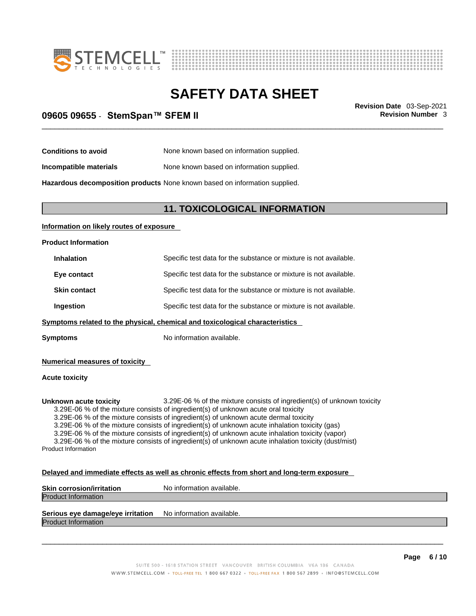



# \_\_\_\_\_\_\_\_\_\_\_\_\_\_\_\_\_\_\_\_\_\_\_\_\_\_\_\_\_\_\_\_\_\_\_\_\_\_\_\_\_\_\_\_\_\_\_\_\_\_\_\_\_\_\_\_\_\_\_\_\_\_\_\_\_\_\_\_\_\_\_\_\_\_\_\_\_\_\_\_\_\_\_\_\_\_\_\_\_\_\_\_\_ **Revision Date** 03-Sep-2021 **09605 09655** - **StemSpan™ SFEM II Revision Number** 3

**Conditions to avoid** None known based on information supplied.

**Incompatible materials** None known based on information supplied.

**Hazardous decomposition products** None known based on information supplied.

### **11. TOXICOLOGICAL INFORMATION**

#### **Information on likely routes of exposure**

#### **Product Information**

| <b>Inhalation</b>   | Specific test data for the substance or mixture is not available. |
|---------------------|-------------------------------------------------------------------|
| Eye contact         | Specific test data for the substance or mixture is not available. |
| <b>Skin contact</b> | Specific test data for the substance or mixture is not available. |
| Ingestion           | Specific test data for the substance or mixture is not available. |
|                     |                                                                   |

**Symptoms related to the physical,chemical and toxicological characteristics**

**Symptoms** No information available.

**Numerical measures of toxicity**

#### **Acute toxicity**

**Unknown acute toxicity** 3.29E-06 % of the mixture consists of ingredient(s) of unknown toxicity

3.29E-06 % of the mixture consists of ingredient(s) of unknown acute oral toxicity

3.29E-06 % of the mixture consists of ingredient(s) of unknown acute dermal toxicity

3.29E-06 % of the mixture consists of ingredient(s) of unknown acute inhalation toxicity (gas)

3.29E-06 % of the mixture consists of ingredient(s) of unknown acute inhalation toxicity (vapor)

3.29E-06 % of the mixture consists of ingredient(s) of unknown acute inhalation toxicity (dust/mist) Product Information

#### **Delayed and immediate effects as well as chronic effects from short and long-term exposure**

| <b>Skin corrosion/irritation</b> | No information available. |
|----------------------------------|---------------------------|
| <b>Product Information</b>       |                           |
|                                  |                           |

## **Serious eye damage/eye irritation** No information available.

Product Information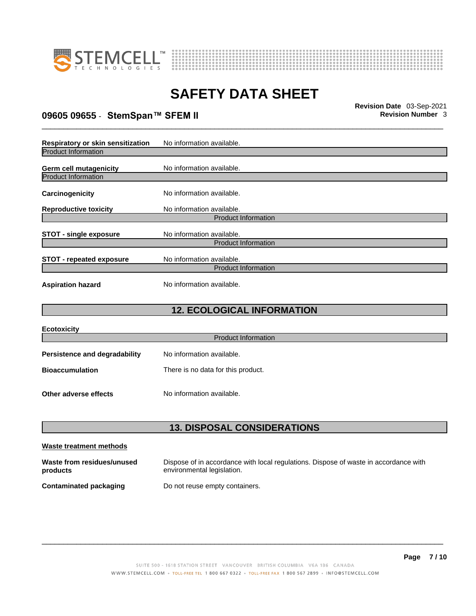



# \_\_\_\_\_\_\_\_\_\_\_\_\_\_\_\_\_\_\_\_\_\_\_\_\_\_\_\_\_\_\_\_\_\_\_\_\_\_\_\_\_\_\_\_\_\_\_\_\_\_\_\_\_\_\_\_\_\_\_\_\_\_\_\_\_\_\_\_\_\_\_\_\_\_\_\_\_\_\_\_\_\_\_\_\_\_\_\_\_\_\_\_\_ **Revision Date** 03-Sep-2021 **09605 09655** - **StemSpan™ SFEM II Revision Number** 3

| Respiratory or skin sensitization                    | No information available.                               |
|------------------------------------------------------|---------------------------------------------------------|
| <b>Product Information</b>                           |                                                         |
| Germ cell mutagenicity<br><b>Product Information</b> | No information available.                               |
| Carcinogenicity                                      | No information available.                               |
| <b>Reproductive toxicity</b>                         | No information available.                               |
|                                                      | <b>Product Information</b>                              |
| <b>STOT - single exposure</b>                        | No information available.<br><b>Product Information</b> |
| <b>STOT</b> - repeated exposure                      | No information available.<br><b>Product Information</b> |
| <b>Aspiration hazard</b>                             | No information available.                               |

## **12. ECOLOGICAL INFORMATION**

| <b>Ecotoxicity</b>            |                                    |
|-------------------------------|------------------------------------|
|                               | <b>Product Information</b>         |
| Persistence and degradability | No information available.          |
| <b>Bioaccumulation</b>        | There is no data for this product. |
| Other adverse effects         | No information available.          |

## **13. DISPOSAL CONSIDERATIONS**

| Waste treatment methods                |                                                                                                                    |
|----------------------------------------|--------------------------------------------------------------------------------------------------------------------|
| Waste from residues/unused<br>products | Dispose of in accordance with local regulations. Dispose of waste in accordance with<br>environmental legislation. |
| Contaminated packaging                 | Do not reuse empty containers.                                                                                     |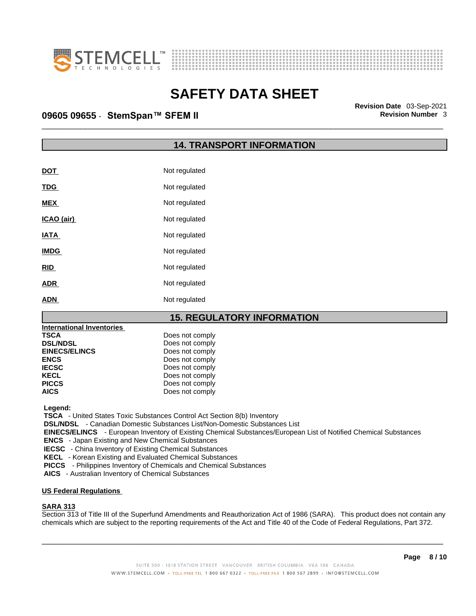



# \_\_\_\_\_\_\_\_\_\_\_\_\_\_\_\_\_\_\_\_\_\_\_\_\_\_\_\_\_\_\_\_\_\_\_\_\_\_\_\_\_\_\_\_\_\_\_\_\_\_\_\_\_\_\_\_\_\_\_\_\_\_\_\_\_\_\_\_\_\_\_\_\_\_\_\_\_\_\_\_\_\_\_\_\_\_\_\_\_\_\_\_\_ **Revision Date** 03-Sep-2021 **09605 09655** - **StemSpan™ SFEM II Revision Number** 3

### **14. TRANSPORT INFORMATION**

| <b>DOT</b>  | Not regulated |
|-------------|---------------|
| <b>TDG</b>  | Not regulated |
| <b>MEX</b>  | Not regulated |
| ICAO (air)  | Not regulated |
| <b>IATA</b> | Not regulated |
| <b>IMDG</b> | Not regulated |
| <b>RID</b>  | Not regulated |
| <b>ADR</b>  | Not regulated |
| ADN         | Not regulated |

### **15. REGULATORY INFORMATION**

| <b>International Inventories</b> |                 |  |
|----------------------------------|-----------------|--|
| <b>TSCA</b>                      | Does not comply |  |
| <b>DSL/NDSL</b>                  | Does not comply |  |
| <b>EINECS/ELINCS</b>             | Does not comply |  |
| <b>ENCS</b>                      | Does not comply |  |
| <b>IECSC</b>                     | Does not comply |  |
| <b>KECL</b>                      | Does not comply |  |
| <b>PICCS</b>                     | Does not comply |  |
| <b>AICS</b>                      | Does not comply |  |

 **Legend:** 

 **TSCA** - United States Toxic Substances Control Act Section 8(b) Inventory

 **DSL/NDSL** - Canadian Domestic Substances List/Non-Domestic Substances List

 **EINECS/ELINCS** - European Inventory of Existing Chemical Substances/European List of Notified Chemical Substances

 **ENCS** - Japan Existing and New Chemical Substances

 **IECSC** - China Inventory of Existing Chemical Substances

 **KECL** - Korean Existing and Evaluated Chemical Substances

 **PICCS** - Philippines Inventory of Chemicals and Chemical Substances

 **AICS** - Australian Inventory of Chemical Substances

#### **US Federal Regulations**

#### **SARA 313**

Section 313 of Title III of the Superfund Amendments and Reauthorization Act of 1986 (SARA). This product does not contain any chemicals which are subject to the reporting requirements of the Act and Title 40 of the Code of Federal Regulations, Part 372.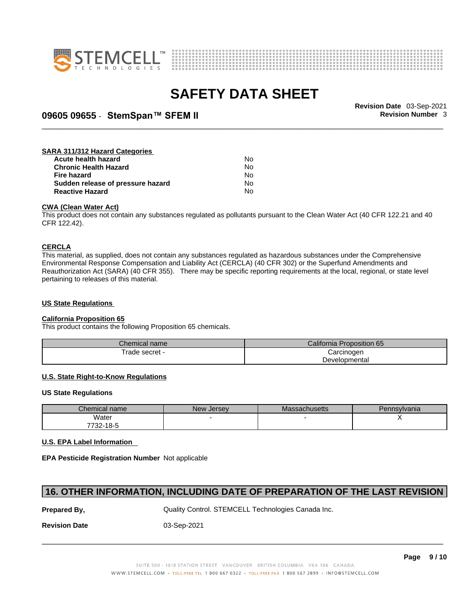



# \_\_\_\_\_\_\_\_\_\_\_\_\_\_\_\_\_\_\_\_\_\_\_\_\_\_\_\_\_\_\_\_\_\_\_\_\_\_\_\_\_\_\_\_\_\_\_\_\_\_\_\_\_\_\_\_\_\_\_\_\_\_\_\_\_\_\_\_\_\_\_\_\_\_\_\_\_\_\_\_\_\_\_\_\_\_\_\_\_\_\_\_\_ **Revision Date** 03-Sep-2021 **09605 09655** - **StemSpan™ SFEM II Revision Number** 3

#### **SARA 311/312 Hazard Categories Acute health hazard** No **Chronic Health Hazard No. 1996 12:33 No. 1996 12:34 No. 1996 12:34 No. 1996 12:34 No. 1996 12:34 No. 1999 12:34 No. 1999 12:34 No. 1999 12:34 No. 1999 12:34 No. 1999 12:34 No. 1999 12:34 No. 1999 12:34 No. 1999 12:34 No Fire hazard** No<br>**Sudden release of pressure hazard No** No **Sudden release of pressure hazard**

**Reactive Hazard** No

#### **CWA (Clean WaterAct)**

This product does not contain any substances regulated as pollutants pursuant to the Clean Water Act (40 CFR 122.21 and 40 CFR 122.42).

#### **CERCLA**

This material, as supplied, does not contain any substances regulated as hazardous substances under the Comprehensive Environmental Response Compensation and Liability Act (CERCLA) (40 CFR 302) or the Superfund Amendments and Reauthorization Act (SARA) (40 CFR 355). There may be specific reporting requirements at the local, regional, or state level pertaining to releases of this material.

#### **US State Regulations**

#### **California Proposition 65**

This product contains the following Proposition 65 chemicals.

| Chemical name   | California<br>Proposition 65 |  |
|-----------------|------------------------------|--|
| ' rade secret - | Carcinogen                   |  |
|                 | Developmental                |  |

#### **U.S. State Right-to-Know Regulations**

#### **US State Regulations**

| Chemical name | New Jersey | <b>Massachusetts</b> | Pennsylvania |
|---------------|------------|----------------------|--------------|
| Water         |            |                      |              |
| 7732-18-5     |            |                      |              |

#### **U.S. EPA Label Information**

**EPA Pesticide Registration Number** Not applicable

### **16. OTHER INFORMATION, INCLUDING DATE OF PREPARATION OF THE LAST REVISION**

**Prepared By, State Control. STEMCELL Technologies Canada Inc.** Canada Inc.

**Revision Date** 03-Sep-2021